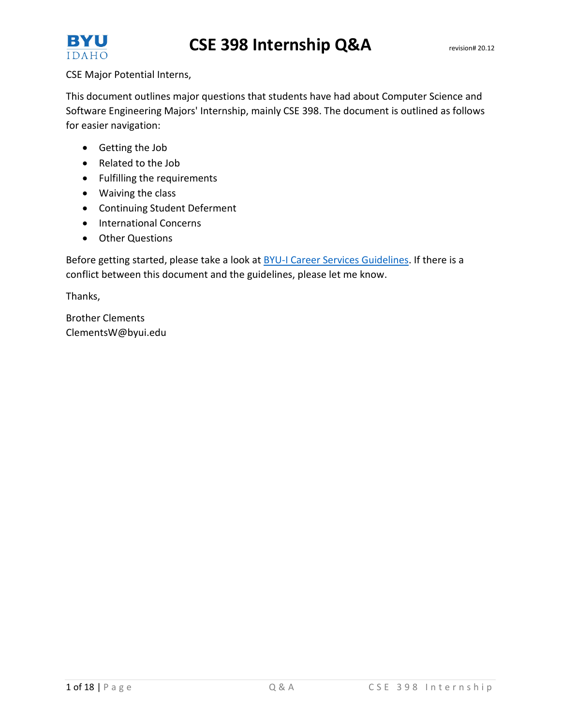



CSE Major Potential Interns,

This document outlines major questions that students have had about Computer Science and Software Engineering Majors' Internship, mainly CSE 398. The document is outlined as follows for easier navigation:

- Getting the Job
- Related to the Job
- Fulfilling the requirements
- Waiving the class
- Continuing Student Deferment
- International Concerns
- Other Questions

Before getting started, please take a look a[t BYU-I Career Services Guidelines.](http://www.byui.edu/Documents/advising/internships/pdfs/10%20Internship%20Guidelines.pdf) If there is a conflict between this document and the guidelines, please let me know.

Thanks,

Brother Clements ClementsW@byui.edu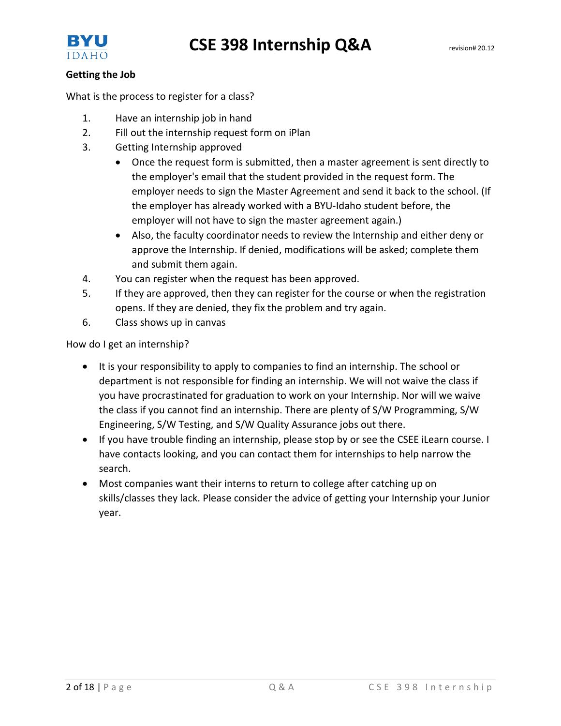

## **Getting the Job**

What is the process to register for a class?

- 1. Have an internship job in hand
- 2. Fill out the internship request form on iPlan
- 3. Getting Internship approved
	- Once the request form is submitted, then a master agreement is sent directly to the employer's email that the student provided in the request form. The employer needs to sign the Master Agreement and send it back to the school. (If the employer has already worked with a BYU-Idaho student before, the employer will not have to sign the master agreement again.)
	- Also, the faculty coordinator needs to review the Internship and either deny or approve the Internship. If denied, modifications will be asked; complete them and submit them again.
- 4. You can register when the request has been approved.
- 5. If they are approved, then they can register for the course or when the registration opens. If they are denied, they fix the problem and try again.
- 6. Class shows up in canvas

How do I get an internship?

- It is your responsibility to apply to companies to find an internship. The school or department is not responsible for finding an internship. We will not waive the class if you have procrastinated for graduation to work on your Internship. Nor will we waive the class if you cannot find an internship. There are plenty of S/W Programming, S/W Engineering, S/W Testing, and S/W Quality Assurance jobs out there.
- If you have trouble finding an internship, please stop by or see the CSEE iLearn course. I have contacts looking, and you can contact them for internships to help narrow the search.
- Most companies want their interns to return to college after catching up on skills/classes they lack. Please consider the advice of getting your Internship your Junior year.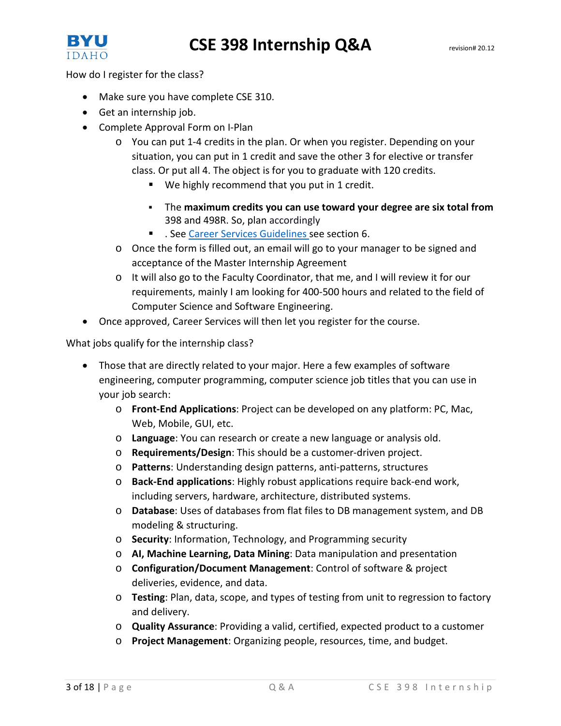

How do I register for the class?

- Make sure you have complete CSE 310.
- Get an internship job.
- Complete Approval Form on I-Plan
	- o You can put 1-4 credits in the plan. Or when you register. Depending on your situation, you can put in 1 credit and save the other 3 for elective or transfer class. Or put all 4. The object is for you to graduate with 120 credits.
		- We highly recommend that you put in 1 credit.
		- The **maximum credits you can use toward your degree are six total from** 398 and 498R. So, plan accordingly
		- See [Career Services Guidelines](http://www.byui.edu/Documents/advising/internships/pdfs/10%20Internship%20Guidelines.pdf) see section 6.
	- o Once the form is filled out, an email will go to your manager to be signed and acceptance of the Master Internship Agreement
	- o It will also go to the Faculty Coordinator, that me, and I will review it for our requirements, mainly I am looking for 400-500 hours and related to the field of Computer Science and Software Engineering.
- Once approved, Career Services will then let you register for the course.

What jobs qualify for the internship class?

- Those that are directly related to your major. Here a few examples of software engineering, computer programming, computer science job titles that you can use in your job search:
	- o **Front-End Applications**: Project can be developed on any platform: PC, Mac, Web, Mobile, GUI, etc.
	- o **Language**: You can research or create a new language or analysis old.
	- o **Requirements/Design**: This should be a customer-driven project.
	- o **Patterns**: Understanding design patterns, anti-patterns, structures
	- o **Back-End applications**: Highly robust applications require back-end work, including servers, hardware, architecture, distributed systems.
	- o **Database**: Uses of databases from flat files to DB management system, and DB modeling & structuring.
	- o **Security**: Information, Technology, and Programming security
	- o **AI, Machine Learning, Data Mining**: Data manipulation and presentation
	- o **Configuration/Document Management**: Control of software & project deliveries, evidence, and data.
	- o **Testing**: Plan, data, scope, and types of testing from unit to regression to factory and delivery.
	- o **Quality Assurance**: Providing a valid, certified, expected product to a customer
	- o **Project Management**: Organizing people, resources, time, and budget.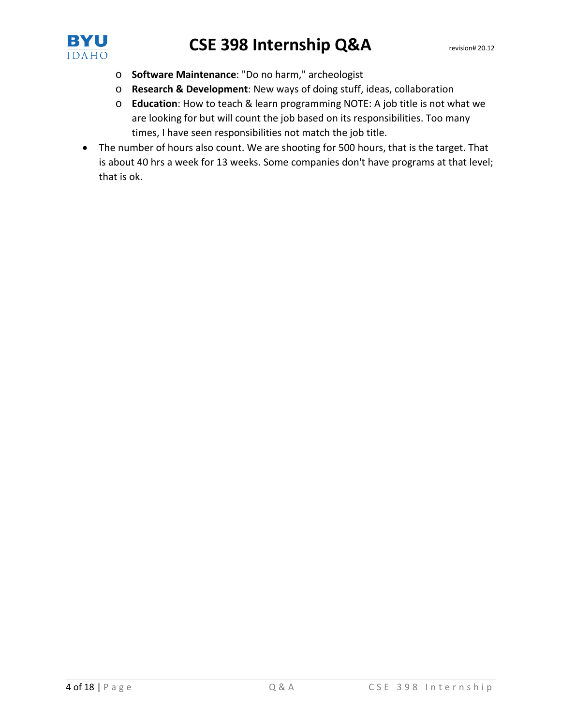

- o **Software Maintenance**: "Do no harm," archeologist
- o **Research & Development**: New ways of doing stuff, ideas, collaboration
- o **Education**: How to teach & learn programming NOTE: A job title is not what we are looking for but will count the job based on its responsibilities. Too many times, I have seen responsibilities not match the job title.
- The number of hours also count. We are shooting for 500 hours, that is the target. That is about 40 hrs a week for 13 weeks. Some companies don't have programs at that level; that is ok.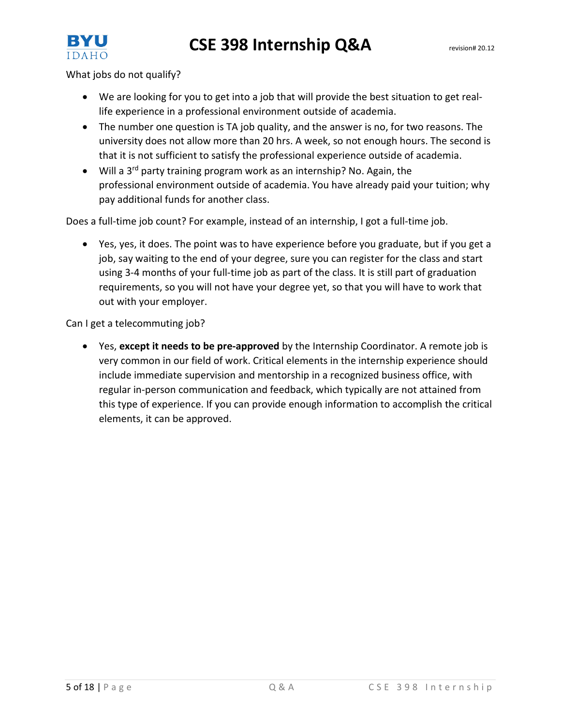

What jobs do not qualify?

- We are looking for you to get into a job that will provide the best situation to get reallife experience in a professional environment outside of academia.
- The number one question is TA job quality, and the answer is no, for two reasons. The university does not allow more than 20 hrs. A week, so not enough hours. The second is that it is not sufficient to satisfy the professional experience outside of academia.
- Will a  $3^{rd}$  party training program work as an internship? No. Again, the professional environment outside of academia. You have already paid your tuition; why pay additional funds for another class.

Does a full-time job count? For example, instead of an internship, I got a full-time job.

• Yes, yes, it does. The point was to have experience before you graduate, but if you get a job, say waiting to the end of your degree, sure you can register for the class and start using 3-4 months of your full-time job as part of the class. It is still part of graduation requirements, so you will not have your degree yet, so that you will have to work that out with your employer.

Can I get a telecommuting job?

• Yes, **except it needs to be pre-approved** by the Internship Coordinator. A remote job is very common in our field of work. Critical elements in the internship experience should include immediate supervision and mentorship in a recognized business office, with regular in-person communication and feedback, which typically are not attained from this type of experience. If you can provide enough information to accomplish the critical elements, it can be approved.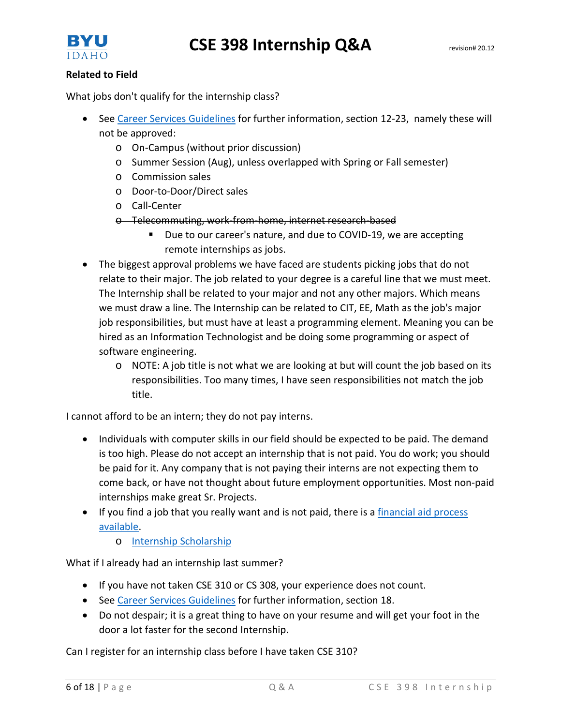

## **Related to Field**

What jobs don't qualify for the internship class?

- See [Career Services Guidelines](http://www.byui.edu/Documents/advising/internships/pdfs/10%20Internship%20Guidelines.pdf) for further information, section 12-23, namely these will not be approved:
	- o On-Campus (without prior discussion)
	- o Summer Session (Aug), unless overlapped with Spring or Fall semester)
	- o Commission sales
	- o Door-to-Door/Direct sales
	- o Call-Center
	- o Telecommuting, work-from-home, internet research-based
		- Due to our career's nature, and due to COVID-19, we are accepting remote internships as jobs.
- The biggest approval problems we have faced are students picking jobs that do not relate to their major. The job related to your degree is a careful line that we must meet. The Internship shall be related to your major and not any other majors. Which means we must draw a line. The Internship can be related to CIT, EE, Math as the job's major job responsibilities, but must have at least a programming element. Meaning you can be hired as an Information Technologist and be doing some programming or aspect of software engineering.
	- o NOTE: A job title is not what we are looking at but will count the job based on its responsibilities. Too many times, I have seen responsibilities not match the job title.

I cannot afford to be an intern; they do not pay interns.

- Individuals with computer skills in our field should be expected to be paid. The demand is too high. Please do not accept an internship that is not paid. You do work; you should be paid for it. Any company that is not paying their interns are not expecting them to come back, or have not thought about future employment opportunities. Most non-paid internships make great Sr. Projects.
- If you find a job that you really want and is not paid, there is a financial aid process [available.](http://www.byui.edu/documents/advising/internships/pdfs/7%20-%20Financial%20Aid%20%E2%80%93%20Internship%20Assistance.pdf)
	- o [Internship Scholarship](http://www.byui.edu/financial-aid/aid-available/scholarships/internship-scholarship)

What if I already had an internship last summer?

- If you have not taken CSE 310 or CS 308, your experience does not count.
- See [Career Services Guidelines](http://www.byui.edu/Documents/advising/internships/pdfs/10%20Internship%20Guidelines.pdf) for further information, section 18.
- Do not despair; it is a great thing to have on your resume and will get your foot in the door a lot faster for the second Internship.

Can I register for an internship class before I have taken CSE 310?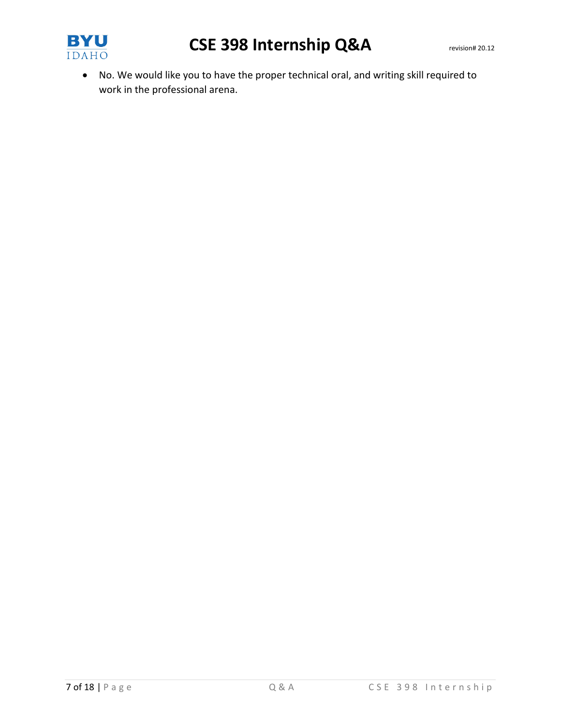

• No. We would like you to have the proper technical oral, and writing skill required to work in the professional arena.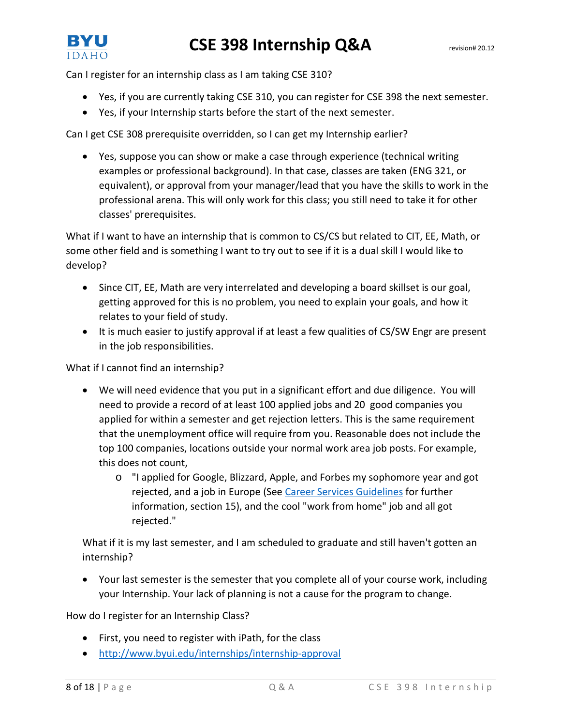

Can I register for an internship class as I am taking CSE 310?

- Yes, if you are currently taking CSE 310, you can register for CSE 398 the next semester.
- Yes, if your Internship starts before the start of the next semester.

Can I get CSE 308 prerequisite overridden, so I can get my Internship earlier?

• Yes, suppose you can show or make a case through experience (technical writing examples or professional background). In that case, classes are taken (ENG 321, or equivalent), or approval from your manager/lead that you have the skills to work in the professional arena. This will only work for this class; you still need to take it for other classes' prerequisites.

What if I want to have an internship that is common to CS/CS but related to CIT, EE, Math, or some other field and is something I want to try out to see if it is a dual skill I would like to develop?

- Since CIT, EE, Math are very interrelated and developing a board skillset is our goal, getting approved for this is no problem, you need to explain your goals, and how it relates to your field of study.
- It is much easier to justify approval if at least a few qualities of CS/SW Engr are present in the job responsibilities.

What if I cannot find an internship?

- We will need evidence that you put in a significant effort and due diligence. You will need to provide a record of at least 100 applied jobs and 20 good companies you applied for within a semester and get rejection letters. This is the same requirement that the unemployment office will require from you. Reasonable does not include the top 100 companies, locations outside your normal work area job posts. For example, this does not count,
	- o "I applied for Google, Blizzard, Apple, and Forbes my sophomore year and got rejected, and a job in Europe (See [Career Services Guidelines](http://www.byui.edu/Documents/advising/internships/pdfs/10%20Internship%20Guidelines.pdf) for further information, section 15), and the cool "work from home" job and all got rejected."

What if it is my last semester, and I am scheduled to graduate and still haven't gotten an internship?

• Your last semester is the semester that you complete all of your course work, including your Internship. Your lack of planning is not a cause for the program to change.

How do I register for an Internship Class?

- First, you need to register with iPath, for the class
- <http://www.byui.edu/internships/internship-approval>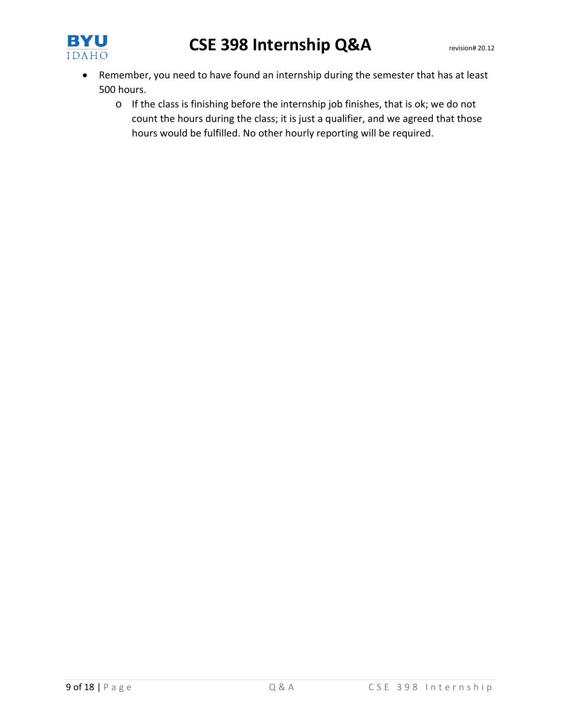

- Remember, you need to have found an internship during the semester that has at least 500 hours.
	- o If the class is finishing before the internship job finishes, that is ok; we do not count the hours during the class; it is just a qualifier, and we agreed that those hours would be fulfilled. No other hourly reporting will be required.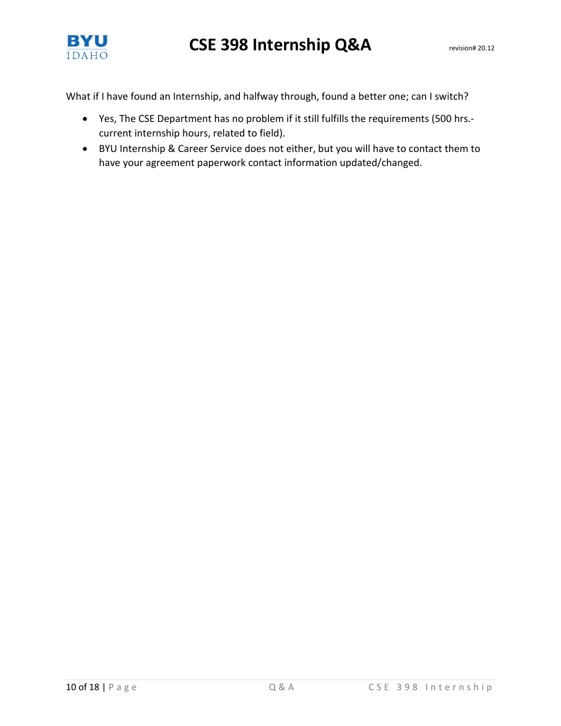

What if I have found an Internship, and halfway through, found a better one; can I switch?

- Yes, The CSE Department has no problem if it still fulfills the requirements (500 hrs. current internship hours, related to field).
- BYU Internship & Career Service does not either, but you will have to contact them to have your agreement paperwork contact information updated/changed.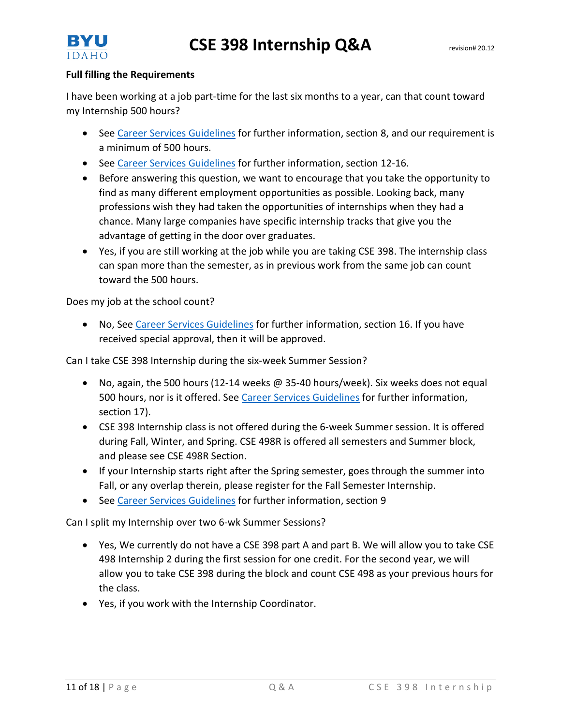



#### **Full filling the Requirements**

I have been working at a job part-time for the last six months to a year, can that count toward my Internship 500 hours?

- See [Career Services Guidelines](http://www.byui.edu/Documents/advising/internships/pdfs/10%20Internship%20Guidelines.pdf) for further information, section 8, and our requirement is a minimum of 500 hours.
- See [Career Services Guidelines](http://www.byui.edu/Documents/advising/internships/pdfs/10%20Internship%20Guidelines.pdf) for further information, section 12-16.
- Before answering this question, we want to encourage that you take the opportunity to find as many different employment opportunities as possible. Looking back, many professions wish they had taken the opportunities of internships when they had a chance. Many large companies have specific internship tracks that give you the advantage of getting in the door over graduates.
- Yes, if you are still working at the job while you are taking CSE 398. The internship class can span more than the semester, as in previous work from the same job can count toward the 500 hours.

Does my job at the school count?

• No, See [Career Services Guidelines](http://www.byui.edu/Documents/advising/internships/pdfs/10%20Internship%20Guidelines.pdf) for further information, section 16. If you have received special approval, then it will be approved.

Can I take CSE 398 Internship during the six-week Summer Session?

- No, again, the 500 hours (12-14 weeks @ 35-40 hours/week). Six weeks does not equal 500 hours, nor is it offered. Se[e Career Services Guidelines](http://www.byui.edu/Documents/advising/internships/pdfs/10%20Internship%20Guidelines.pdf) for further information, section 17).
- CSE 398 Internship class is not offered during the 6-week Summer session. It is offered during Fall, Winter, and Spring. CSE 498R is offered all semesters and Summer block, and please see CSE 498R Section.
- If your Internship starts right after the Spring semester, goes through the summer into Fall, or any overlap therein, please register for the Fall Semester Internship.
- See [Career Services Guidelines](http://www.byui.edu/Documents/advising/internships/pdfs/10%20Internship%20Guidelines.pdf) for further information, section 9

Can I split my Internship over two 6-wk Summer Sessions?

- Yes, We currently do not have a CSE 398 part A and part B. We will allow you to take CSE 498 Internship 2 during the first session for one credit. For the second year, we will allow you to take CSE 398 during the block and count CSE 498 as your previous hours for the class.
- Yes, if you work with the Internship Coordinator.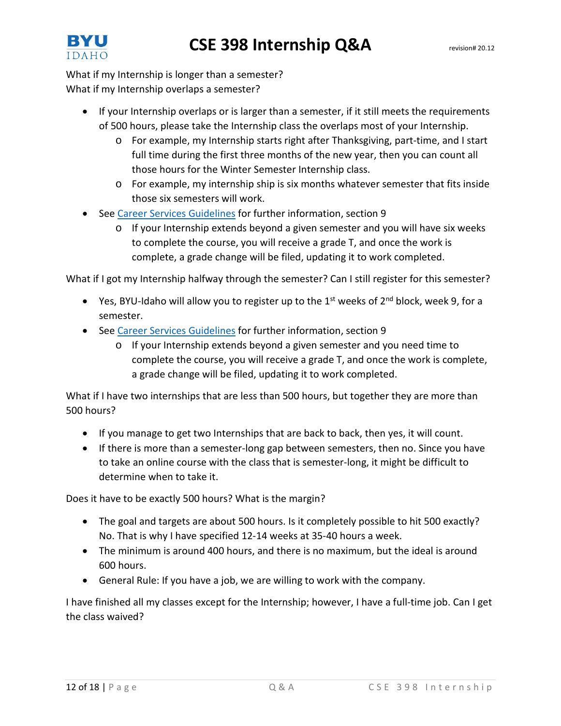

What if my Internship is longer than a semester? What if my Internship overlaps a semester?

- If your Internship overlaps or is larger than a semester, if it still meets the requirements of 500 hours, please take the Internship class the overlaps most of your Internship.
	- o For example, my Internship starts right after Thanksgiving, part-time, and I start full time during the first three months of the new year, then you can count all those hours for the Winter Semester Internship class.
	- o For example, my internship ship is six months whatever semester that fits inside those six semesters will work.
- See [Career Services Guidelines](http://www.byui.edu/Documents/advising/internships/pdfs/10%20Internship%20Guidelines.pdf) for further information, section 9
	- $\circ$  If your Internship extends beyond a given semester and you will have six weeks to complete the course, you will receive a grade T, and once the work is complete, a grade change will be filed, updating it to work completed.

What if I got my Internship halfway through the semester? Can I still register for this semester?

- Yes, BYU-Idaho will allow you to register up to the  $1^{st}$  weeks of  $2^{nd}$  block, week 9, for a semester.
- See [Career Services Guidelines](http://www.byui.edu/Documents/advising/internships/pdfs/10%20Internship%20Guidelines.pdf) for further information, section 9
	- $\circ$  If your Internship extends beyond a given semester and you need time to complete the course, you will receive a grade T, and once the work is complete, a grade change will be filed, updating it to work completed.

What if I have two internships that are less than 500 hours, but together they are more than 500 hours?

- If you manage to get two Internships that are back to back, then yes, it will count.
- If there is more than a semester-long gap between semesters, then no. Since you have to take an online course with the class that is semester-long, it might be difficult to determine when to take it.

Does it have to be exactly 500 hours? What is the margin?

- The goal and targets are about 500 hours. Is it completely possible to hit 500 exactly? No. That is why I have specified 12-14 weeks at 35-40 hours a week.
- The minimum is around 400 hours, and there is no maximum, but the ideal is around 600 hours.
- General Rule: If you have a job, we are willing to work with the company.

I have finished all my classes except for the Internship; however, I have a full-time job. Can I get the class waived?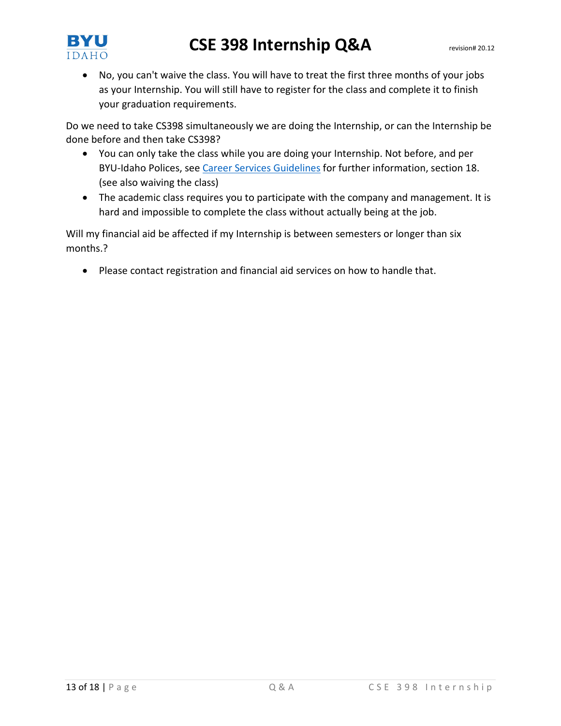

• No, you can't waive the class. You will have to treat the first three months of your jobs as your Internship. You will still have to register for the class and complete it to finish your graduation requirements.

Do we need to take CS398 simultaneously we are doing the Internship, or can the Internship be done before and then take CS398?

- You can only take the class while you are doing your Internship. Not before, and per BYU-Idaho Polices, see [Career Services Guidelines](http://www.byui.edu/Documents/advising/internships/pdfs/10%20Internship%20Guidelines.pdf) for further information, section 18. (see also waiving the class)
- The academic class requires you to participate with the company and management. It is hard and impossible to complete the class without actually being at the job.

Will my financial aid be affected if my Internship is between semesters or longer than six months.?

• Please contact registration and financial aid services on how to handle that.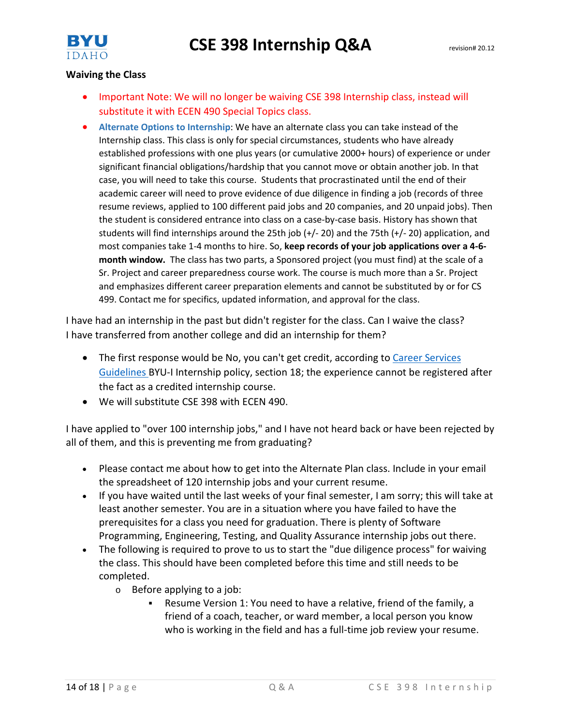

### **Waiving the Class**

- Important Note: We will no longer be waiving CSE 398 Internship class, instead will substitute it with ECEN 490 Special Topics class.
- **Alternate Options to Internship**: We have an alternate class you can take instead of the Internship class. This class is only for special circumstances, students who have already established professions with one plus years (or cumulative 2000+ hours) of experience or under significant financial obligations/hardship that you cannot move or obtain another job. In that case, you will need to take this course. Students that procrastinated until the end of their academic career will need to prove evidence of due diligence in finding a job (records of three resume reviews, applied to 100 different paid jobs and 20 companies, and 20 unpaid jobs). Then the student is considered entrance into class on a case-by-case basis. History has shown that students will find internships around the 25th job (+/- 20) and the 75th (+/- 20) application, and most companies take 1-4 months to hire. So, **keep records of your job applications over a 4-6 month window.** The class has two parts, a Sponsored project (you must find) at the scale of a Sr. Project and career preparedness course work. The course is much more than a Sr. Project and emphasizes different career preparation elements and cannot be substituted by or for CS 499. Contact me for specifics, updated information, and approval for the class.

I have had an internship in the past but didn't register for the class. Can I waive the class? I have transferred from another college and did an internship for them?

- The first response would be No, you can't get credit, according to Career Services [Guidelines](http://www.byui.edu/Documents/advising/internships/pdfs/10%20Internship%20Guidelines.pdf) BYU-I Internship policy, section 18; the experience cannot be registered after the fact as a credited internship course.
- We will substitute CSE 398 with ECEN 490.

I have applied to "over 100 internship jobs," and I have not heard back or have been rejected by all of them, and this is preventing me from graduating?

- Please contact me about how to get into the Alternate Plan class. Include in your email the spreadsheet of 120 internship jobs and your current resume.
- If you have waited until the last weeks of your final semester, I am sorry; this will take at least another semester. You are in a situation where you have failed to have the prerequisites for a class you need for graduation. There is plenty of Software Programming, Engineering, Testing, and Quality Assurance internship jobs out there.
- The following is required to prove to us to start the "due diligence process" for waiving the class. This should have been completed before this time and still needs to be completed.
	- o Before applying to a job:
		- Resume Version 1: You need to have a relative, friend of the family, a friend of a coach, teacher, or ward member, a local person you know who is working in the field and has a full-time job review your resume.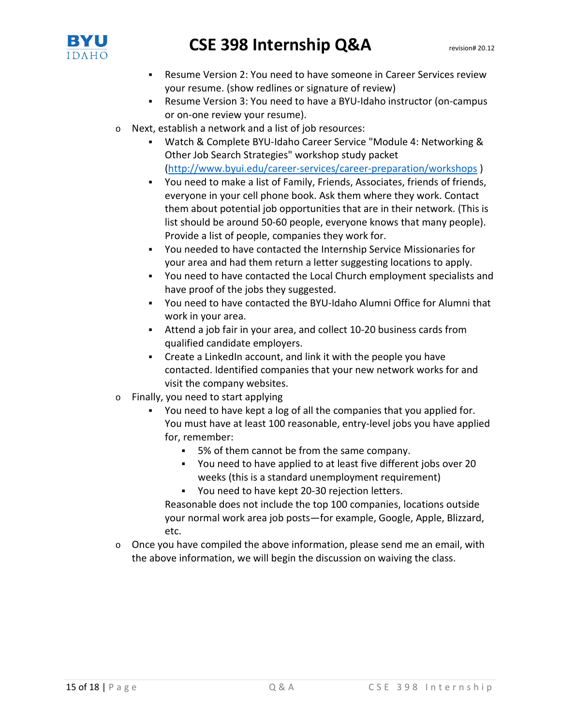

- Resume Version 2: You need to have someone in Career Services review your resume. (show redlines or signature of review)
- Resume Version 3: You need to have a BYU-Idaho instructor (on-campus or on-one review your resume).
- o Next, establish a network and a list of job resources:
	- Watch & Complete BYU-Idaho Career Service "Module 4: Networking & Other Job Search Strategies" workshop study packet [\(http://www.byui.edu/career-services/career-preparation/workshops](http://www.byui.edu/career-services/career-preparation/workshops) )
	- You need to make a list of Family, Friends, Associates, friends of friends, everyone in your cell phone book. Ask them where they work. Contact them about potential job opportunities that are in their network. (This is list should be around 50-60 people, everyone knows that many people). Provide a list of people, companies they work for.
	- You needed to have contacted the Internship Service Missionaries for your area and had them return a letter suggesting locations to apply.
	- You need to have contacted the Local Church employment specialists and have proof of the jobs they suggested.
	- You need to have contacted the BYU-Idaho Alumni Office for Alumni that work in your area.
	- Attend a job fair in your area, and collect 10-20 business cards from qualified candidate employers.
	- Create a LinkedIn account, and link it with the people you have contacted. Identified companies that your new network works for and visit the company websites.
- o Finally, you need to start applying
	- You need to have kept a log of all the companies that you applied for. You must have at least 100 reasonable, entry-level jobs you have applied for, remember:
		- 5% of them cannot be from the same company.
		- You need to have applied to at least five different jobs over 20 weeks (this is a standard unemployment requirement)

You need to have kept 20-30 rejection letters.

Reasonable does not include the top 100 companies, locations outside your normal work area job posts—for example, Google, Apple, Blizzard, etc.

 $\circ$  Once you have compiled the above information, please send me an email, with the above information, we will begin the discussion on waiving the class.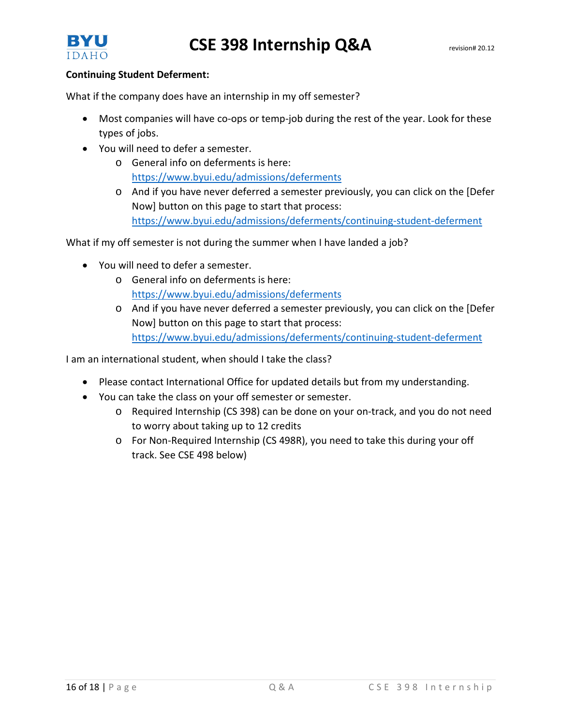

### **Continuing Student Deferment:**

What if the company does have an internship in my off semester?

- Most companies will have co-ops or temp-job during the rest of the year. Look for these types of jobs.
- You will need to defer a semester.
	- o General info on deferments is here: <https://www.byui.edu/admissions/deferments>
	- o And if you have never deferred a semester previously, you can click on the [Defer Now] button on this page to start that process: <https://www.byui.edu/admissions/deferments/continuing-student-deferment>

What if my off semester is not during the summer when I have landed a job?

- You will need to defer a semester.
	- o General info on deferments is here: <https://www.byui.edu/admissions/deferments>
	- $\circ$  And if you have never deferred a semester previously, you can click on the [Defer Now] button on this page to start that process: <https://www.byui.edu/admissions/deferments/continuing-student-deferment>

I am an international student, when should I take the class?

- Please contact International Office for updated details but from my understanding.
- You can take the class on your off semester or semester.
	- o Required Internship (CS 398) can be done on your on-track, and you do not need to worry about taking up to 12 credits
	- o For Non-Required Internship (CS 498R), you need to take this during your off track. See CSE 498 below)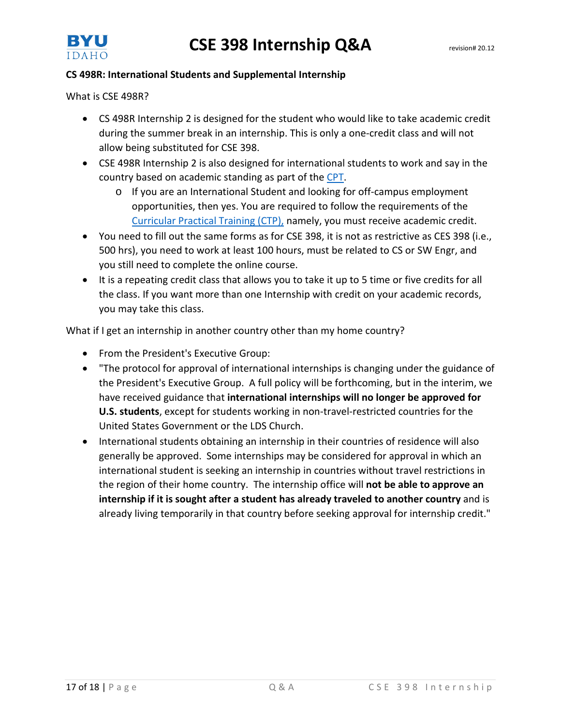



### **CS 498R: International Students and Supplemental Internship**

What is CSE 498R?

- CS 498R Internship 2 is designed for the student who would like to take academic credit during the summer break in an internship. This is only a one-credit class and will not allow being substituted for CSE 398.
- CSE 498R Internship 2 is also designed for international students to work and say in the country based on academic standing as part of th[e CPT.](http://www.byui.edu/international-services/now-that-youre-here)
	- o If you are an International Student and looking for off-campus employment opportunities, then yes. You are required to follow the requirements of the [Curricular Practical Training \(CTP\),](http://www.byui.edu/international-services/now-that-youre-here) namely, you must receive academic credit.
- You need to fill out the same forms as for CSE 398, it is not as restrictive as CES 398 (i.e., 500 hrs), you need to work at least 100 hours, must be related to CS or SW Engr, and you still need to complete the online course.
- It is a repeating credit class that allows you to take it up to 5 time or five credits for all the class. If you want more than one Internship with credit on your academic records, you may take this class.

What if I get an internship in another country other than my home country?

- From the President's Executive Group:
- "The protocol for approval of international internships is changing under the guidance of the President's Executive Group. A full policy will be forthcoming, but in the interim, we have received guidance that **international internships will no longer be approved for U.S. students**, except for students working in non-travel-restricted countries for the United States Government or the LDS Church.
- International students obtaining an internship in their countries of residence will also generally be approved. Some internships may be considered for approval in which an international student is seeking an internship in countries without travel restrictions in the region of their home country. The internship office will **not be able to approve an internship if it is sought after a student has already traveled to another country** and is already living temporarily in that country before seeking approval for internship credit."